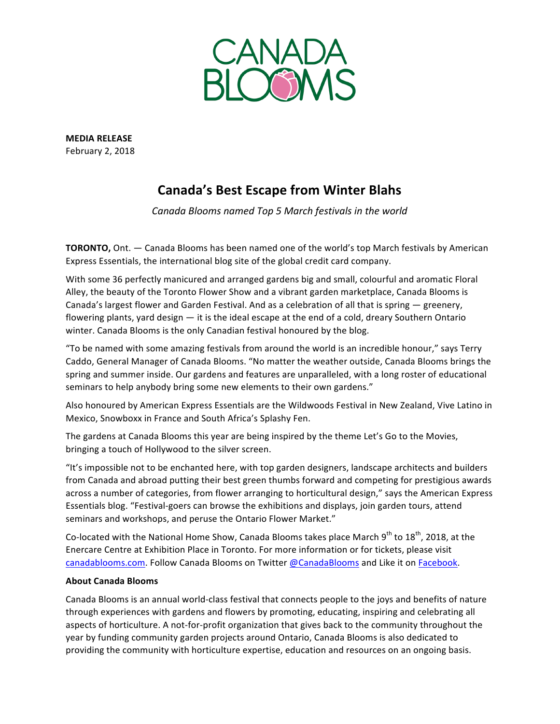

**MEDIA RELEASE** February 2, 2018

## **Canada's Best Escape from Winter Blahs**

Canada Blooms named Top 5 March festivals in the world

**TORONTO,** Ont. — Canada Blooms has been named one of the world's top March festivals by American Express Essentials, the international blog site of the global credit card company.

With some 36 perfectly manicured and arranged gardens big and small, colourful and aromatic Floral Alley, the beauty of the Toronto Flower Show and a vibrant garden marketplace, Canada Blooms is Canada's largest flower and Garden Festival. And as a celebration of all that is spring  $-$  greenery, flowering plants, yard design  $-$  it is the ideal escape at the end of a cold, dreary Southern Ontario winter. Canada Blooms is the only Canadian festival honoured by the blog.

"To be named with some amazing festivals from around the world is an incredible honour," says Terry Caddo, General Manager of Canada Blooms. "No matter the weather outside, Canada Blooms brings the spring and summer inside. Our gardens and features are unparalleled, with a long roster of educational seminars to help anybody bring some new elements to their own gardens."

Also honoured by American Express Essentials are the Wildwoods Festival in New Zealand, Vive Latino in Mexico, Snowboxx in France and South Africa's Splashy Fen.

The gardens at Canada Blooms this year are being inspired by the theme Let's Go to the Movies, bringing a touch of Hollywood to the silver screen.

"It's impossible not to be enchanted here, with top garden designers, landscape architects and builders from Canada and abroad putting their best green thumbs forward and competing for prestigious awards across a number of categories, from flower arranging to horticultural design," says the American Express Essentials blog. "Festival-goers can browse the exhibitions and displays, join garden tours, attend seminars and workshops, and peruse the Ontario Flower Market."

Co-located with the National Home Show, Canada Blooms takes place March  $9^{th}$  to  $18^{th}$ , 2018, at the Enercare Centre at Exhibition Place in Toronto. For more information or for tickets, please visit canadablooms.com. Follow Canada Blooms on Twitter @CanadaBlooms and Like it on Facebook.

## **About Canada Blooms**

Canada Blooms is an annual world-class festival that connects people to the joys and benefits of nature through experiences with gardens and flowers by promoting, educating, inspiring and celebrating all aspects of horticulture. A not-for-profit organization that gives back to the community throughout the year by funding community garden projects around Ontario, Canada Blooms is also dedicated to providing the community with horticulture expertise, education and resources on an ongoing basis.